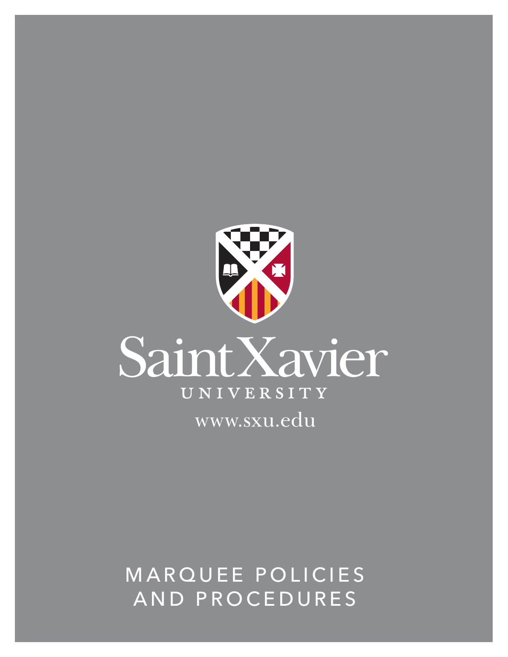

## MARQUEE POLICIES AND PROCEDURES